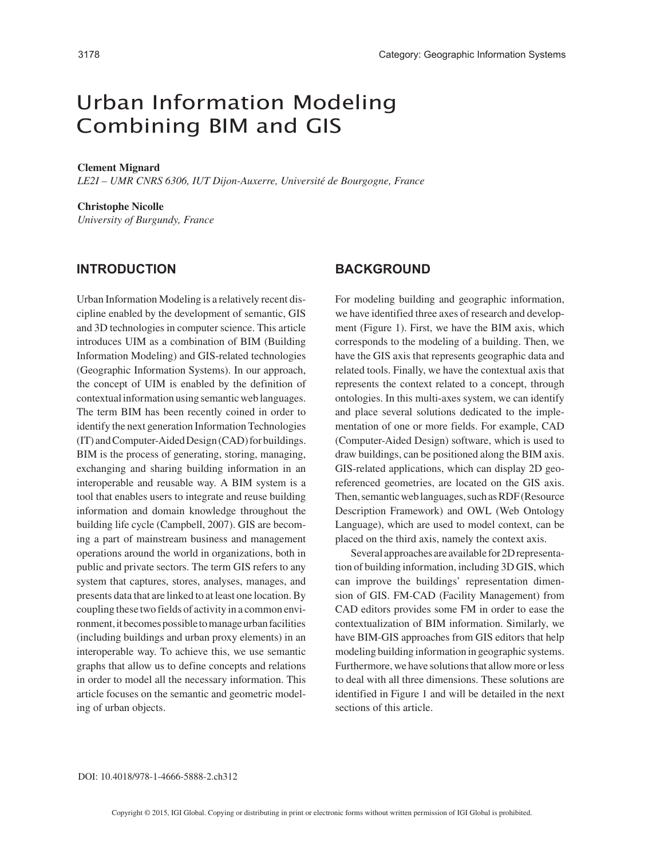# Urban Information Modeling Combining BIM and GIS

#### **Clement Mignard**

*LE2I – UMR CNRS 6306, IUT Dijon-Auxerre, Université de Bourgogne, France*

#### **Christophe Nicolle**

*University of Burgundy, France*

## **INTRODUCTION**

Urban Information Modeling is a relatively recent discipline enabled by the development of semantic, GIS and 3D technologies in computer science. This article introduces UIM as a combination of BIM (Building Information Modeling) and GIS-related technologies (Geographic Information Systems). In our approach, the concept of UIM is enabled by the definition of contextual information using semantic web languages. The term BIM has been recently coined in order to identify the next generation Information Technologies (IT) and Computer-Aided Design (CAD) for buildings. BIM is the process of generating, storing, managing, exchanging and sharing building information in an interoperable and reusable way. A BIM system is a tool that enables users to integrate and reuse building information and domain knowledge throughout the building life cycle (Campbell, 2007). GIS are becoming a part of mainstream business and management operations around the world in organizations, both in public and private sectors. The term GIS refers to any system that captures, stores, analyses, manages, and presents data that are linked to at least one location. By coupling these two fields of activity in a common environment, it becomes possible to manage urban facilities (including buildings and urban proxy elements) in an interoperable way. To achieve this, we use semantic graphs that allow us to define concepts and relations in order to model all the necessary information. This article focuses on the semantic and geometric modeling of urban objects.

## **BACKGROUND**

For modeling building and geographic information, we have identified three axes of research and development (Figure 1). First, we have the BIM axis, which corresponds to the modeling of a building. Then, we have the GIS axis that represents geographic data and related tools. Finally, we have the contextual axis that represents the context related to a concept, through ontologies. In this multi-axes system, we can identify and place several solutions dedicated to the implementation of one or more fields. For example, CAD (Computer-Aided Design) software, which is used to draw buildings, can be positioned along the BIM axis. GIS-related applications, which can display 2D georeferenced geometries, are located on the GIS axis. Then, semantic web languages, such as RDF (Resource Description Framework) and OWL (Web Ontology Language), which are used to model context, can be placed on the third axis, namely the context axis.

Several approaches are available for 2D representation of building information, including 3D GIS, which can improve the buildings' representation dimension of GIS. FM-CAD (Facility Management) from CAD editors provides some FM in order to ease the contextualization of BIM information. Similarly, we have BIM-GIS approaches from GIS editors that help modeling building information in geographic systems. Furthermore, we have solutions that allow more or less to deal with all three dimensions. These solutions are identified in Figure 1 and will be detailed in the next sections of this article.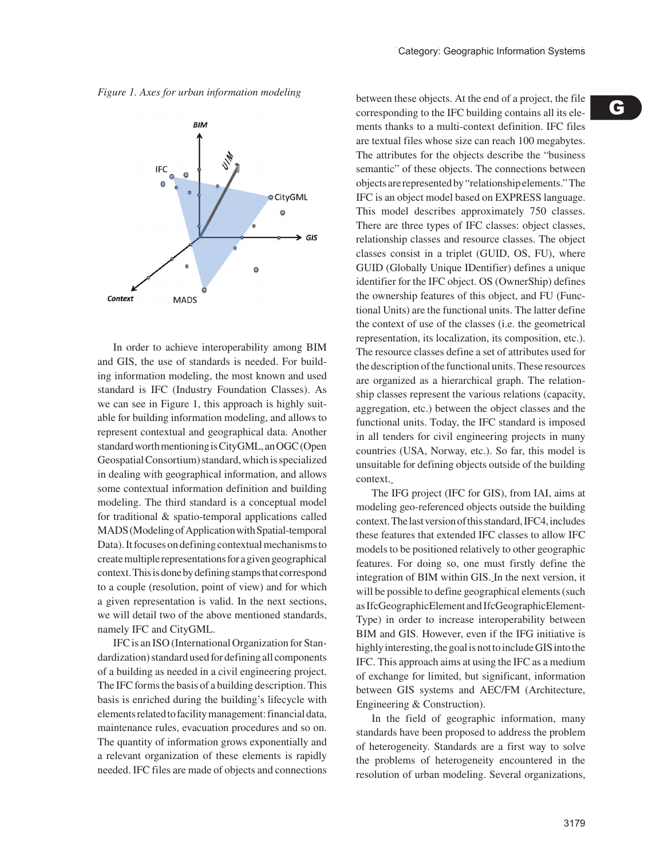*Figure 1. Axes for urban information modeling*



In order to achieve interoperability among BIM and GIS, the use of standards is needed. For building information modeling, the most known and used standard is IFC (Industry Foundation Classes). As we can see in Figure 1, this approach is highly suitable for building information modeling, and allows to represent contextual and geographical data. Another standard worth mentioning is CityGML, an OGC (Open Geospatial Consortium) standard, which is specialized in dealing with geographical information, and allows some contextual information definition and building modeling. The third standard is a conceptual model for traditional & spatio-temporal applications called MADS (Modeling of Application with Spatial-temporal Data). It focuses on defining contextual mechanisms to create multiple representations for a given geographical context. This is done by defining stamps that correspond to a couple (resolution, point of view) and for which a given representation is valid. In the next sections, we will detail two of the above mentioned standards, namely IFC and CityGML.

IFC is an ISO (International Organization for Standardization) standard used for defining all components of a building as needed in a civil engineering project. The IFC forms the basis of a building description. This basis is enriched during the building's lifecycle with elements related to facility management: financial data, maintenance rules, evacuation procedures and so on. The quantity of information grows exponentially and a relevant organization of these elements is rapidly needed. IFC files are made of objects and connections between these objects. At the end of a project, the file corresponding to the IFC building contains all its elements thanks to a multi-context definition. IFC files are textual files whose size can reach 100 megabytes. The attributes for the objects describe the "business semantic" of these objects. The connections between objects are represented by "relationship elements." The IFC is an object model based on EXPRESS language. This model describes approximately 750 classes. There are three types of IFC classes: object classes, relationship classes and resource classes. The object classes consist in a triplet (GUID, OS, FU), where GUID (Globally Unique IDentifier) defines a unique identifier for the IFC object. OS (OwnerShip) defines the ownership features of this object, and FU (Functional Units) are the functional units. The latter define the context of use of the classes (i.e. the geometrical representation, its localization, its composition, etc.). The resource classes define a set of attributes used for the description of the functional units. These resources are organized as a hierarchical graph. The relationship classes represent the various relations (capacity, aggregation, etc.) between the object classes and the functional units. Today, the IFC standard is imposed in all tenders for civil engineering projects in many countries (USA, Norway, etc.). So far, this model is unsuitable for defining objects outside of the building context.

The IFG project (IFC for GIS), from IAI, aims at modeling geo-referenced objects outside the building context. The last version of this standard, IFC4, includes these features that extended IFC classes to allow IFC models to be positioned relatively to other geographic features. For doing so, one must firstly define the integration of BIM within GIS. In the next version, it will be possible to define geographical elements (such as IfcGeographicElement and IfcGeographicElement-Type) in order to increase interoperability between BIM and GIS. However, even if the IFG initiative is highly interesting, the goal is not to include GIS into the IFC. This approach aims at using the IFC as a medium of exchange for limited, but significant, information between GIS systems and AEC/FM (Architecture, Engineering & Construction).

In the field of geographic information, many standards have been proposed to address the problem of heterogeneity. Standards are a first way to solve the problems of heterogeneity encountered in the resolution of urban modeling. Several organizations,